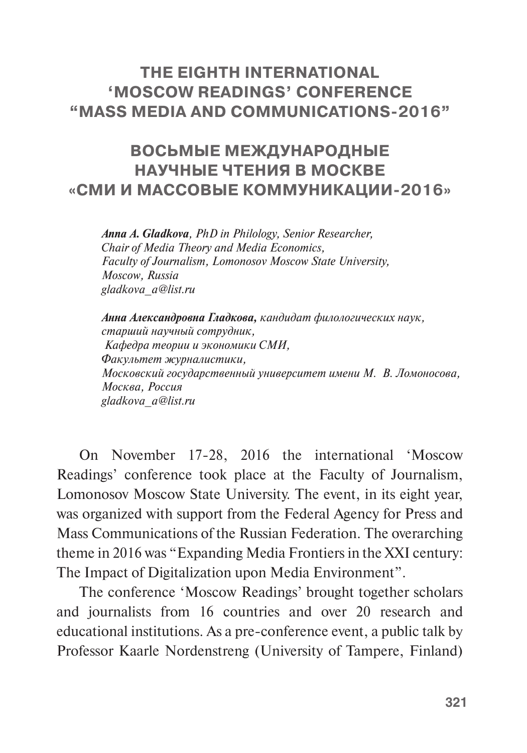## **THE EIGHTH INTERNATIONAL 'MOSCOW READINGS' CONFERENCE "MASS MEDIA AND COMMUNICATIONS-2016"**

## **ВОСЬМЫE МЕЖДУНАРОДНЫE НАУЧНЫЕ ЧТЕНИЯ В МОСКВЕ «СМИ И МАССОВЫЕ КОММУНИКАЦИИ-2016»**

*Anna A. Gladkova, PhD in Philology, Senior Researcher, Chair of Media Theory and Media Economics, Faculty of Journalism, Lomonosov Moscow State University, Moscow, Russia gladkova\_a@list.ru*

*Анна Александровна Гладкова, кандидат филологических наук, старший научный сотрудник, Кафедра теории и экономики СМИ, Факультет журналистики, Московский государственный университет имени М. В. Ломоносова, Москва, Россия gladkova\_a@list.ru*

On November 17-28, 2016 the international 'Moscow Readings' conference took place at the Faculty of Journalism, Lomonosov Moscow State University. The event, in its eight year, was organized with support from the Federal Agency for Press and Mass Communications of the Russian Federation. The overarching theme in 2016 was "Expanding Media Frontiers in the XXI century: The Impact of Digitalization upon Media Environment".

The conference 'Moscow Readings' brought together scholars and journalists from 16 countries and over 20 research and educational institutions. As a pre-conference event, a public talk by Professor Kaarle Nordenstreng (University of Tampere, Finland)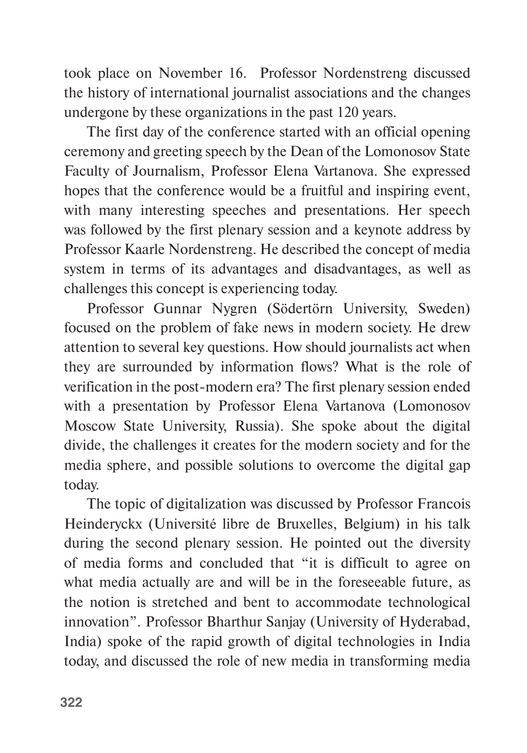took place on November 16. Professor Nordenstreng discussed the history of international journalist associations and the changes undergone by these organizations in the past 120 years.

The first day of the conference started with an official opening ceremony and greeting speech by the Dean of the Lomonosov State Faculty of Journalism, Professor Elena Vartanova. She expressed hopes that the conference would be a fruitful and inspiring event, with many interesting speeches and presentations. Her speech was followed by the first plenary session and a keynote address by Professor Kaarle Nordenstreng. He described the concept of media system in terms of its advantages and disadvantages, as well as challenges this concept is experiencing today.

Professor Gunnar Nygren (Södertörn University, Sweden) focused on the problem of fake news in modern society. He drew attention to several key questions. How should journalists act when they are surrounded by information flows? What is the role of verification in the post-modern era? The first plenary session ended with a presentation by Professor Elena Vartanova (Lomonosov Moscow State University, Russia). She spoke about the digital divide, the challenges it creates for the modern society and for the media sphere, and possible solutions to overcome the digital gap today.

The topic of digitalization was discussed by Professor Francois Heinderyckx (Université libre de Bruxelles, Belgium) in his talk during the second plenary session. He pointed out the diversity of media forms and concluded that "it is difficult to agree on what media actually are and will be in the foreseeable future, as the notion is stretched and bent to accommodate technological innovation". Professor Bharthur Sanjay (University of Hyderabad, India) spoke of the rapid growth of digital technologies in India today, and discussed the role of new media in transforming media